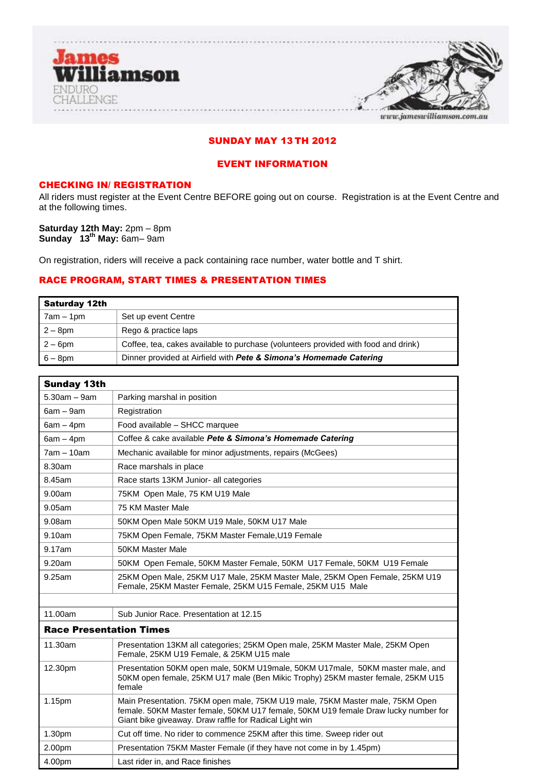

# SUNDAY MAY 13 TH 2012

# EVENT INFORMATION

# CHECKING IN/ REGISTRATION

All riders must register at the Event Centre BEFORE going out on course. Registration is at the Event Centre and at the following times.

**Saturday 12th May:** 2pm – 8pm **Sunday 13 th May:** 6am– 9am

On registration, riders will receive a pack containing race number, water bottle and T shirt.

# RACE PROGRAM, START TIMES & PRESENTATION TIMES

| <b>Saturday 12th</b> |                                                                                    |
|----------------------|------------------------------------------------------------------------------------|
| 7am – 1pm            | Set up event Centre                                                                |
| $2-8$ pm             | Rego & practice laps                                                               |
| $2-6$ pm             | Coffee, tea, cakes available to purchase (volunteers provided with food and drink) |
| $6 - 8$ pm           | Dinner provided at Airfield with Pete & Simona's Homemade Catering                 |

| <b>Sunday 13th</b>             |                                                                                                                                                                                                                               |
|--------------------------------|-------------------------------------------------------------------------------------------------------------------------------------------------------------------------------------------------------------------------------|
| $5.30am - 9am$                 | Parking marshal in position                                                                                                                                                                                                   |
| $6am - 9am$                    | Registration                                                                                                                                                                                                                  |
| $6am - 4pm$                    | Food available - SHCC marquee                                                                                                                                                                                                 |
| $6am - 4pm$                    | Coffee & cake available Pete & Simona's Homemade Catering                                                                                                                                                                     |
| $7am - 10am$                   | Mechanic available for minor adjustments, repairs (McGees)                                                                                                                                                                    |
| 8.30am                         | Race marshals in place                                                                                                                                                                                                        |
| 8.45am                         | Race starts 13KM Junior- all categories                                                                                                                                                                                       |
| 9.00am                         | 75KM Open Male, 75 KM U19 Male                                                                                                                                                                                                |
| 9.05am                         | 75 KM Master Male                                                                                                                                                                                                             |
| 9.08am                         | 50KM Open Male 50KM U19 Male, 50KM U17 Male                                                                                                                                                                                   |
| 9.10am                         | 75KM Open Female, 75KM Master Female, U19 Female                                                                                                                                                                              |
| 9.17am                         | <b>50KM Master Male</b>                                                                                                                                                                                                       |
| 9.20am                         | 50KM Open Female, 50KM Master Female, 50KM U17 Female, 50KM U19 Female                                                                                                                                                        |
| 9.25am                         | 25KM Open Male, 25KM U17 Male, 25KM Master Male, 25KM Open Female, 25KM U19<br>Female, 25KM Master Female, 25KM U15 Female, 25KM U15 Male                                                                                     |
|                                |                                                                                                                                                                                                                               |
| 11.00am                        | Sub Junior Race, Presentation at 12.15                                                                                                                                                                                        |
| <b>Race Presentation Times</b> |                                                                                                                                                                                                                               |
| 11.30am                        | Presentation 13KM all categories; 25KM Open male, 25KM Master Male, 25KM Open<br>Female, 25KM U19 Female, & 25KM U15 male                                                                                                     |
| 12.30pm                        | Presentation 50KM open male, 50KM U19male, 50KM U17male, 50KM master male, and<br>50KM open female, 25KM U17 male (Ben Mikic Trophy) 25KM master female, 25KM U15<br>female                                                   |
| 1.15pm                         | Main Presentation. 75KM open male, 75KM U19 male, 75KM Master male, 75KM Open<br>female. 50KM Master female, 50KM U17 female, 50KM U19 female Draw lucky number for<br>Giant bike giveaway. Draw raffle for Radical Light win |
| 1.30pm                         | Cut off time. No rider to commence 25KM after this time. Sweep rider out                                                                                                                                                      |
| 2.00pm                         | Presentation 75KM Master Female (if they have not come in by 1.45pm)                                                                                                                                                          |
| 4.00pm                         | Last rider in, and Race finishes                                                                                                                                                                                              |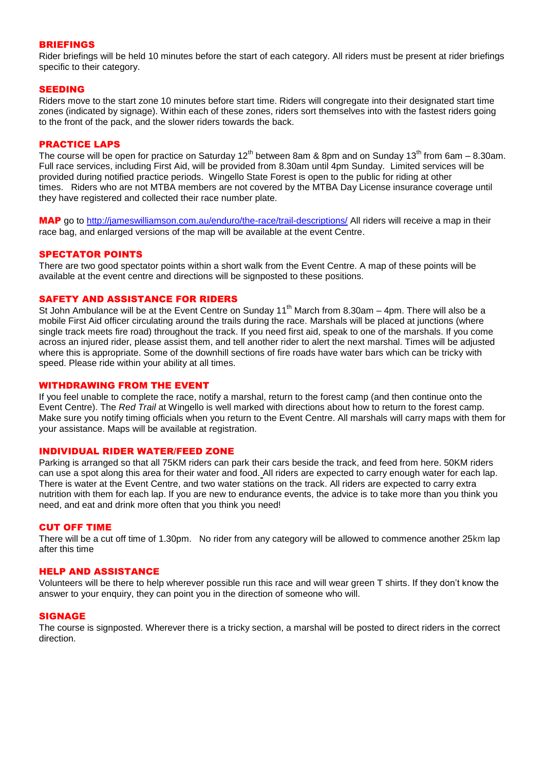# BRIEFINGS

Rider briefings will be held 10 minutes before the start of each category. All riders must be present at rider briefings specific to their category.

## SEEDING

Riders move to the start zone 10 minutes before start time. Riders will congregate into their designated start time zones (indicated by signage). Within each of these zones, riders sort themselves into with the fastest riders going to the front of the pack, and the slower riders towards the back.

### PRACTICE LAPS

The course will be open for practice on Saturday 12<sup>th</sup> between 8am & 8pm and on Sunday 13<sup>th</sup> from 6am – 8.30am. Full race services, including First Aid, will be provided from 8.30am until 4pm Sunday. Limited services will be provided during notified practice periods. Wingello State Forest is open to the public for riding at other times. Riders who are not MTBA members are not covered by the MTBA Day License insurance coverage until they have registered and collected their race number plate.

MAP go to<http://jameswilliamson.com.au/enduro/the-race/trail-descriptions/> All riders will receive a map in their race bag, and enlarged versions of the map will be available at the event Centre.

### SPECTATOR POINTS

There are two good spectator points within a short walk from the Event Centre. A map of these points will be available at the event centre and directions will be signposted to these positions.

# SAFETY AND ASSISTANCE FOR RIDERS

St John Ambulance will be at the Event Centre on Sunday 11<sup>th</sup> March from 8.30am  $-$  4pm. There will also be a mobile First Aid officer circulating around the trails during the race. Marshals will be placed at junctions (where single track meets fire road) throughout the track. If you need first aid, speak to one of the marshals. If you come across an injured rider, please assist them, and tell another rider to alert the next marshal. Times will be adjusted where this is appropriate. Some of the downhill sections of fire roads have water bars which can be tricky with speed. Please ride within your ability at all times.

### WITHDRAWING FROM THE EVENT

If you feel unable to complete the race, notify a marshal, return to the forest camp (and then continue onto the Event Centre). The *Red Trail* at Wingello is well marked with directions about how to return to the forest camp. Make sure you notify timing officials when you return to the Event Centre. All marshals will carry maps with them for your assistance. Maps will be available at registration.

# INDIVIDUAL RIDER WATER/FEED ZONE

Parking is arranged so that all 75KM riders can park their cars beside the track, and feed from here. 50KM riders can use a spot along this area for their water and food. All riders are expected to carry enough water for each lap. There is water at the Event Centre, and two water stations on the track. All riders are expected to carry extra nutrition with them for each lap. If you are new to endurance events, the advice is to take more than you think you need, and eat and drink more often that you think you need!

### CUT OFF TIME

There will be a cut off time of 1.30pm. No rider from any category will be allowed to commence another 25km lap after this time

### HELP AND ASSISTANCE

Volunteers will be there to help wherever possible run this race and will wear green T shirts. If they don't know the answer to your enquiry, they can point you in the direction of someone who will.

### SIGNAGE

The course is signposted. Wherever there is a tricky section, a marshal will be posted to direct riders in the correct direction.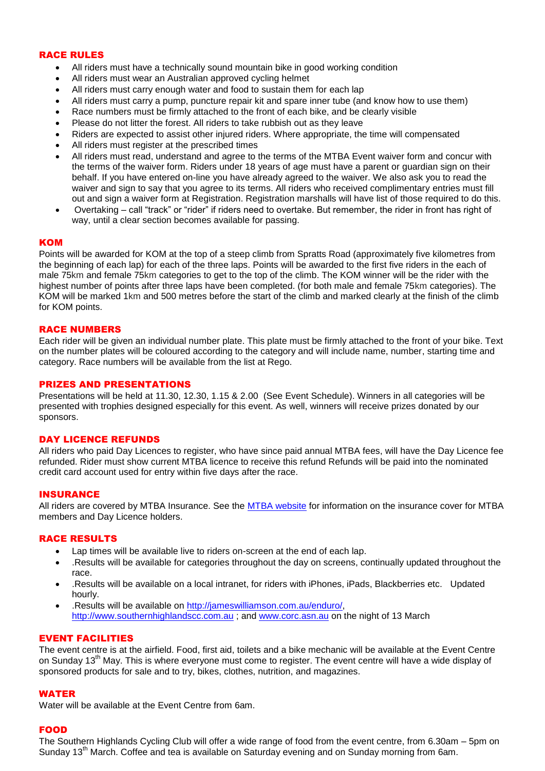# RACE RULES

- All riders must have a technically sound mountain bike in good working condition
- All riders must wear an Australian approved cycling helmet
- All riders must carry enough water and food to sustain them for each lap
- All riders must carry a pump, puncture repair kit and spare inner tube (and know how to use them)
- Race numbers must be firmly attached to the front of each bike, and be clearly visible
- Please do not litter the forest. All riders to take rubbish out as they leave
- Riders are expected to assist other injured riders. Where appropriate, the time will compensated
- All riders must register at the prescribed times
- All riders must read, understand and agree to the terms of the MTBA Event waiver form and concur with the terms of the waiver form. Riders under 18 years of age must have a parent or guardian sign on their behalf. If you have entered on-line you have already agreed to the waiver. We also ask you to read the waiver and sign to say that you agree to its terms. All riders who received complimentary entries must fill out and sign a waiver form at Registration. Registration marshalls will have list of those required to do this.
- Overtaking call "track" or "rider" if riders need to overtake. But remember, the rider in front has right of way, until a clear section becomes available for passing.

## **KOM**

Points will be awarded for KOM at the top of a steep climb from Spratts Road (approximately five kilometres from the beginning of each lap) for each of the three laps. Points will be awarded to the first five riders in the each of male 75km and female 75km categories to get to the top of the climb. The KOM winner will be the rider with the highest number of points after three laps have been completed. (for both male and female 75km categories). The KOM will be marked 1km and 500 metres before the start of the climb and marked clearly at the finish of the climb for KOM points.

### RACE NUMBERS

Each rider will be given an individual number plate. This plate must be firmly attached to the front of your bike. Text on the number plates will be coloured according to the category and will include name, number, starting time and category. Race numbers will be available from the list at Rego.

### PRIZES AND PRESENTATIONS

Presentations will be held at 11.30, 12.30, 1.15 & 2.00 (See Event Schedule). Winners in all categories will be presented with trophies designed especially for this event. As well, winners will receive prizes donated by our sponsors.

## DAY LICENCE REFUNDS

All riders who paid Day Licences to register, who have since paid annual MTBA fees, will have the Day Licence fee refunded. Rider must show current MTBA licence to receive this refund Refunds will be paid into the nominated credit card account used for entry within five days after the race.

## **INSURANCE**

All riders are covered by MTBA Insurance. See the [MTBA website](http://www.mtba.asn.au/MEMBERSHIP/?IntCatId=2&IntContId=83) for information on the insurance cover for MTBA members and Day Licence holders.

### RACE RESULTS

- Lap times will be available live to riders on-screen at the end of each lap.
- .Results will be available for categories throughout the day on screens, continually updated throughout the race.
- .Results will be available on a local intranet, for riders with iPhones, iPads, Blackberries etc. Updated hourly.
- .Results will be available on [http://jameswilliamson.com.au/enduro/,](http://jameswilliamson.com.au/enduro/) [http://www.southernhighlandscc.com.au](http://www.southernhighlandscc.com.au/) ; and [www.corc.asn.au](http://www.corc.asn.au/) on the night of 13 March

# EVENT FACILITIES

The event centre is at the airfield. Food, first aid, toilets and a bike mechanic will be available at the Event Centre on Sunday 13<sup>th</sup> May. This is where everyone must come to register. The event centre will have a wide display of sponsored products for sale and to try, bikes, clothes, nutrition, and magazines.

### WATER

Water will be available at the Event Centre from 6am.

### FOOD

The Southern Highlands Cycling Club will offer a wide range of food from the event centre, from 6.30am – 5pm on Sunday 13<sup>th</sup> March. Coffee and tea is available on Saturday evening and on Sunday morning from 6am.